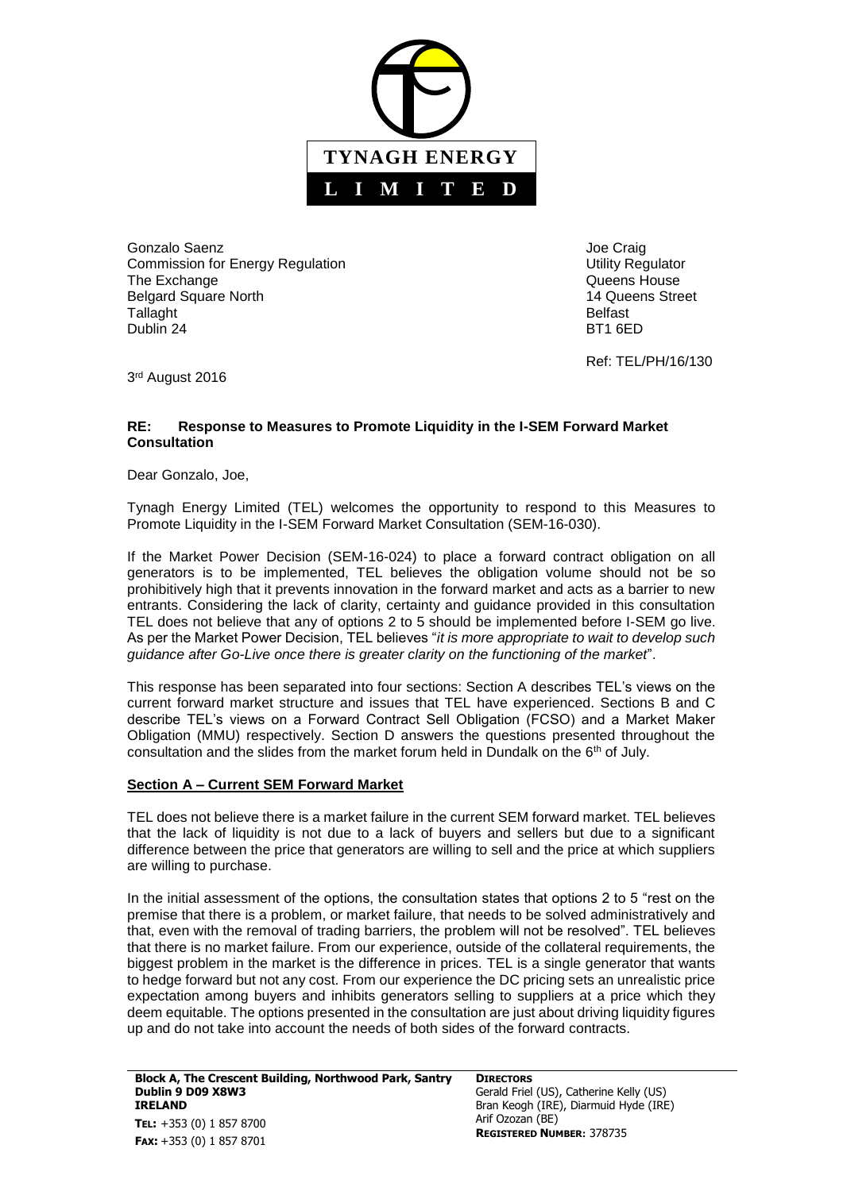

Gonzalo Saenz **Material Saenz** Joe Craig Commission for Energy Regulation **Network 1989** Utility Regulator The Exchange **The Exchange CONSISTENT CONSISTENT Queens House Queens** House Belgard Square North 14 Queens Street Tallaght **Belfast** Dublin 24 BT1 6ED

Ref: TEL/PH/16/130

3<sup>rd</sup> August 2016

# **RE: Response to Measures to Promote Liquidity in the I-SEM Forward Market Consultation**

Dear Gonzalo, Joe,

Tynagh Energy Limited (TEL) welcomes the opportunity to respond to this Measures to Promote Liquidity in the I-SEM Forward Market Consultation (SEM-16-030).

If the Market Power Decision (SEM-16-024) to place a forward contract obligation on all generators is to be implemented, TEL believes the obligation volume should not be so prohibitively high that it prevents innovation in the forward market and acts as a barrier to new entrants. Considering the lack of clarity, certainty and guidance provided in this consultation TEL does not believe that any of options 2 to 5 should be implemented before I-SEM go live. As per the Market Power Decision, TEL believes "*it is more appropriate to wait to develop such guidance after Go-Live once there is greater clarity on the functioning of the market*".

This response has been separated into four sections: Section A describes TEL's views on the current forward market structure and issues that TEL have experienced. Sections B and C describe TEL's views on a Forward Contract Sell Obligation (FCSO) and a Market Maker Obligation (MMU) respectively. Section D answers the questions presented throughout the consultation and the slides from the market forum held in Dundalk on the  $6<sup>th</sup>$  of July.

# **Section A – Current SEM Forward Market**

TEL does not believe there is a market failure in the current SEM forward market. TEL believes that the lack of liquidity is not due to a lack of buyers and sellers but due to a significant difference between the price that generators are willing to sell and the price at which suppliers are willing to purchase.

In the initial assessment of the options, the consultation states that options 2 to 5 "rest on the premise that there is a problem, or market failure, that needs to be solved administratively and that, even with the removal of trading barriers, the problem will not be resolved". TEL believes that there is no market failure. From our experience, outside of the collateral requirements, the biggest problem in the market is the difference in prices. TEL is a single generator that wants to hedge forward but not any cost. From our experience the DC pricing sets an unrealistic price expectation among buyers and inhibits generators selling to suppliers at a price which they deem equitable. The options presented in the consultation are just about driving liquidity figures up and do not take into account the needs of both sides of the forward contracts.

**DIRECTORS** Gerald Friel (US), Catherine Kelly (US) Bran Keogh (IRE), Diarmuid Hyde (IRE) Arif Ozozan (BE) **REGISTERED NUMBER:** 378735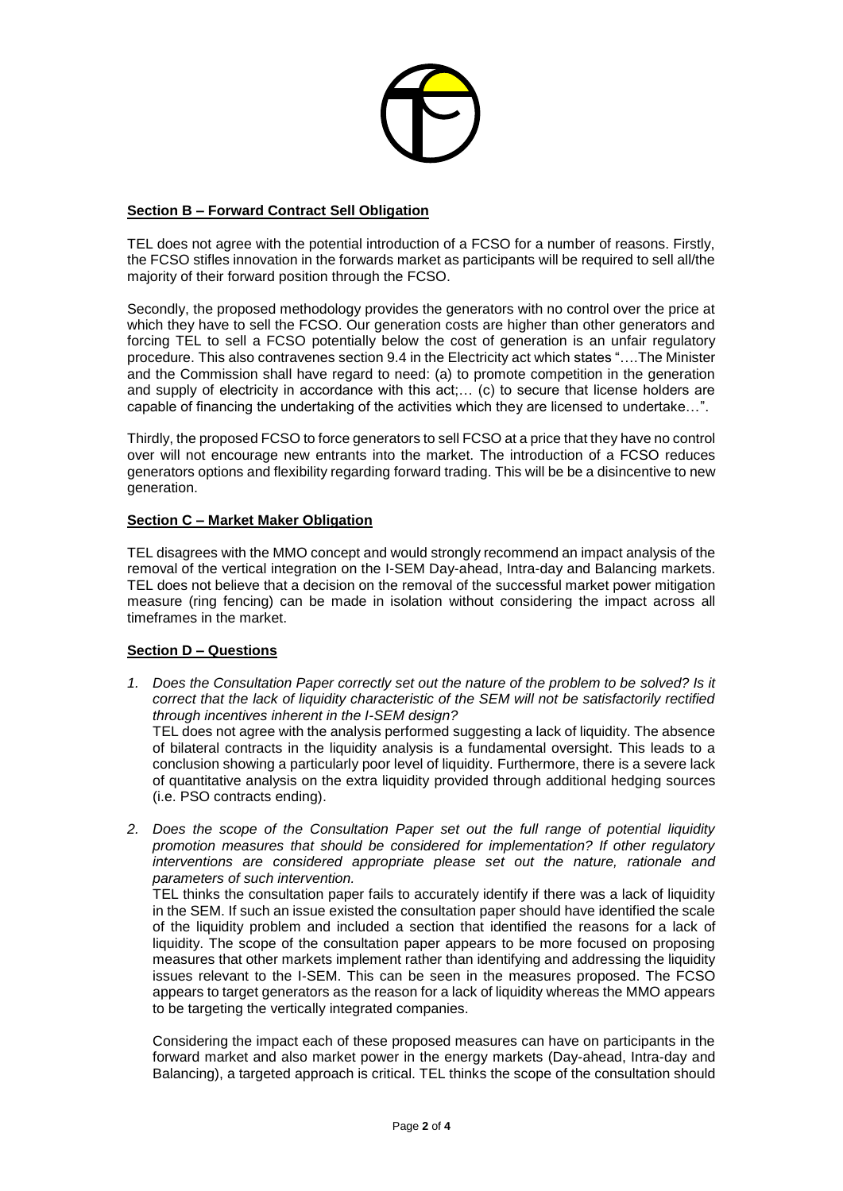

## **Section B – Forward Contract Sell Obligation**

TEL does not agree with the potential introduction of a FCSO for a number of reasons. Firstly, the FCSO stifles innovation in the forwards market as participants will be required to sell all/the majority of their forward position through the FCSO.

Secondly, the proposed methodology provides the generators with no control over the price at which they have to sell the FCSO. Our generation costs are higher than other generators and forcing TEL to sell a FCSO potentially below the cost of generation is an unfair regulatory procedure. This also contravenes section 9.4 in the Electricity act which states "….The Minister and the Commission shall have regard to need: (a) to promote competition in the generation and supply of electricity in accordance with this act;… (c) to secure that license holders are capable of financing the undertaking of the activities which they are licensed to undertake…".

Thirdly, the proposed FCSO to force generators to sell FCSO at a price that they have no control over will not encourage new entrants into the market. The introduction of a FCSO reduces generators options and flexibility regarding forward trading. This will be be a disincentive to new generation.

### **Section C – Market Maker Obligation**

TEL disagrees with the MMO concept and would strongly recommend an impact analysis of the removal of the vertical integration on the I-SEM Day-ahead, Intra-day and Balancing markets. TEL does not believe that a decision on the removal of the successful market power mitigation measure (ring fencing) can be made in isolation without considering the impact across all timeframes in the market.

# **Section D – Questions**

*1. Does the Consultation Paper correctly set out the nature of the problem to be solved? Is it correct that the lack of liquidity characteristic of the SEM will not be satisfactorily rectified through incentives inherent in the I-SEM design?*

TEL does not agree with the analysis performed suggesting a lack of liquidity. The absence of bilateral contracts in the liquidity analysis is a fundamental oversight. This leads to a conclusion showing a particularly poor level of liquidity. Furthermore, there is a severe lack of quantitative analysis on the extra liquidity provided through additional hedging sources (i.e. PSO contracts ending).

*2. Does the scope of the Consultation Paper set out the full range of potential liquidity promotion measures that should be considered for implementation? If other regulatory interventions are considered appropriate please set out the nature, rationale and parameters of such intervention.* 

TEL thinks the consultation paper fails to accurately identify if there was a lack of liquidity in the SEM. If such an issue existed the consultation paper should have identified the scale of the liquidity problem and included a section that identified the reasons for a lack of liquidity. The scope of the consultation paper appears to be more focused on proposing measures that other markets implement rather than identifying and addressing the liquidity issues relevant to the I-SEM. This can be seen in the measures proposed. The FCSO appears to target generators as the reason for a lack of liquidity whereas the MMO appears to be targeting the vertically integrated companies.

Considering the impact each of these proposed measures can have on participants in the forward market and also market power in the energy markets (Day-ahead, Intra-day and Balancing), a targeted approach is critical. TEL thinks the scope of the consultation should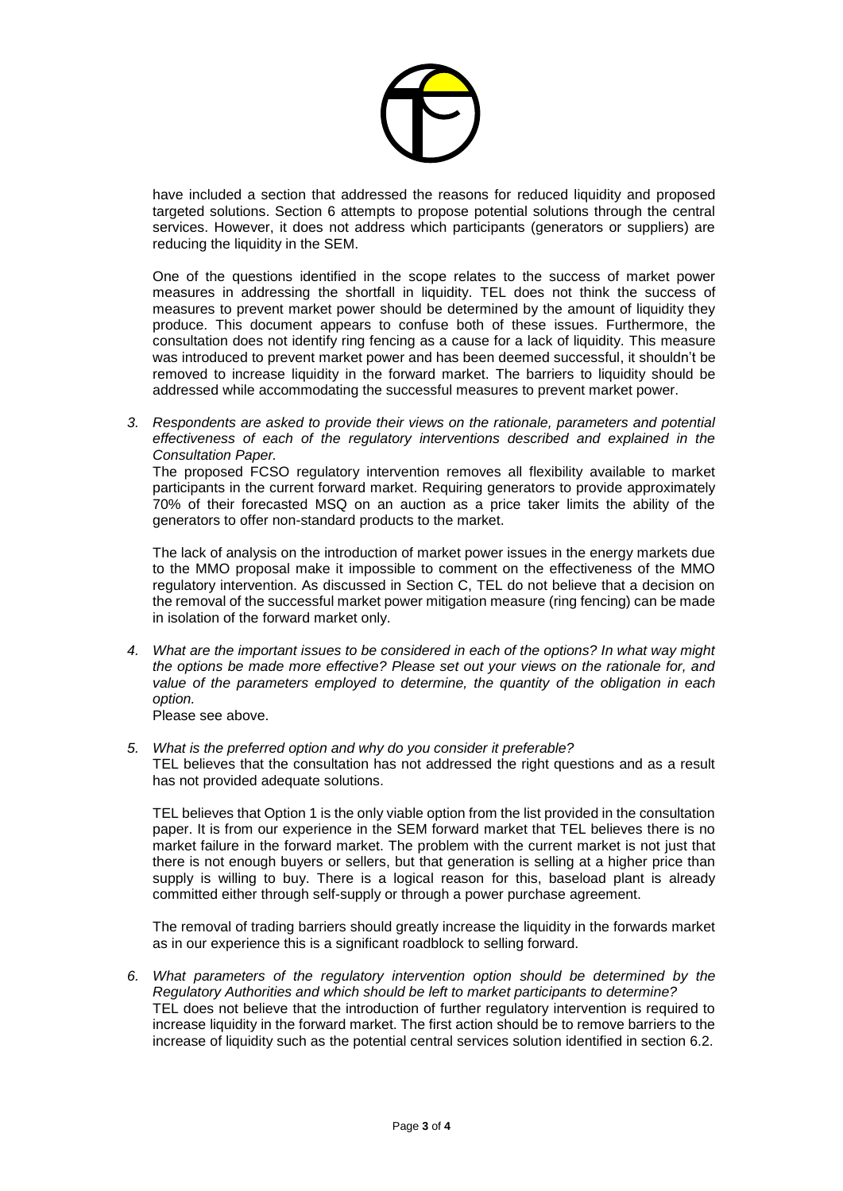

have included a section that addressed the reasons for reduced liquidity and proposed targeted solutions. Section 6 attempts to propose potential solutions through the central services. However, it does not address which participants (generators or suppliers) are reducing the liquidity in the SEM.

One of the questions identified in the scope relates to the success of market power measures in addressing the shortfall in liquidity. TEL does not think the success of measures to prevent market power should be determined by the amount of liquidity they produce. This document appears to confuse both of these issues. Furthermore, the consultation does not identify ring fencing as a cause for a lack of liquidity. This measure was introduced to prevent market power and has been deemed successful, it shouldn't be removed to increase liquidity in the forward market. The barriers to liquidity should be addressed while accommodating the successful measures to prevent market power.

*3. Respondents are asked to provide their views on the rationale, parameters and potential effectiveness of each of the regulatory interventions described and explained in the Consultation Paper.*

The proposed FCSO regulatory intervention removes all flexibility available to market participants in the current forward market. Requiring generators to provide approximately 70% of their forecasted MSQ on an auction as a price taker limits the ability of the generators to offer non-standard products to the market.

The lack of analysis on the introduction of market power issues in the energy markets due to the MMO proposal make it impossible to comment on the effectiveness of the MMO regulatory intervention. As discussed in Section C, TEL do not believe that a decision on the removal of the successful market power mitigation measure (ring fencing) can be made in isolation of the forward market only.

*4. What are the important issues to be considered in each of the options? In what way might the options be made more effective? Please set out your views on the rationale for, and value of the parameters employed to determine, the quantity of the obligation in each option.*

Please see above.

*5. What is the preferred option and why do you consider it preferable?* TEL believes that the consultation has not addressed the right questions and as a result has not provided adequate solutions.

TEL believes that Option 1 is the only viable option from the list provided in the consultation paper. It is from our experience in the SEM forward market that TEL believes there is no market failure in the forward market. The problem with the current market is not just that there is not enough buyers or sellers, but that generation is selling at a higher price than supply is willing to buy. There is a logical reason for this, baseload plant is already committed either through self-supply or through a power purchase agreement.

The removal of trading barriers should greatly increase the liquidity in the forwards market as in our experience this is a significant roadblock to selling forward.

*6. What parameters of the regulatory intervention option should be determined by the Regulatory Authorities and which should be left to market participants to determine?* TEL does not believe that the introduction of further regulatory intervention is required to increase liquidity in the forward market. The first action should be to remove barriers to the increase of liquidity such as the potential central services solution identified in section 6.2.